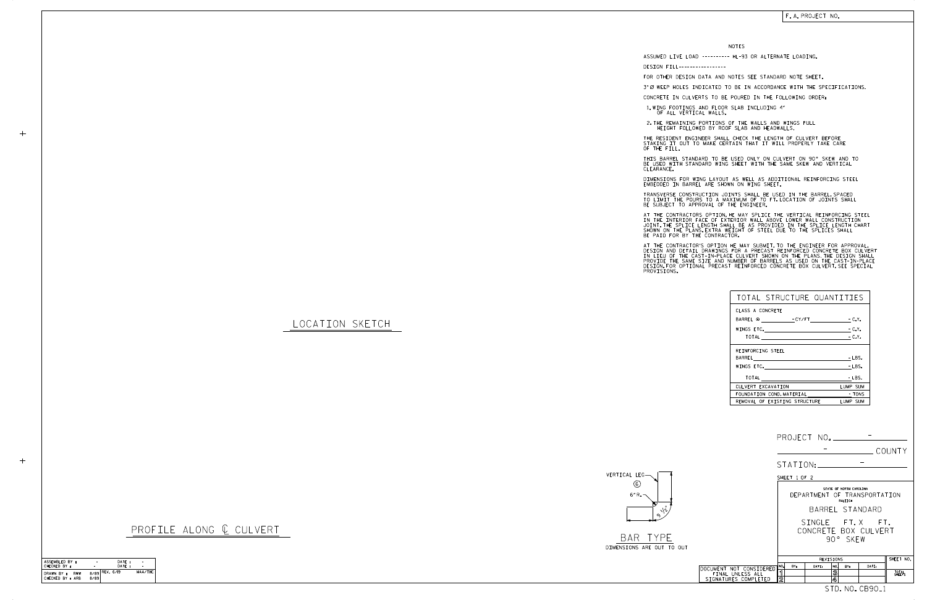

BAR TYPE DIMENSIONS ARE OUT TO OU

LOCATION SKETCH

 $\,+\,$ 

 $+$ 

PROFILE ALONG @ CULVERT

CHECKED BY : ASSEMBLED BY : DATE : DATE : - - MAA/THC ASSEMBLED BT: THE CHECKED BY:<br>CHECKED BY: RWW 8/89<sup>REV.6/19</sup><br>DRAWN BY: RWW 8/89<sup>REV.6/19</sup> -

|                                                                                                                                                                                                                                                                                                                                                                                                          | NOTES                                                                         |            |                            |                             |       |                 |  |
|----------------------------------------------------------------------------------------------------------------------------------------------------------------------------------------------------------------------------------------------------------------------------------------------------------------------------------------------------------------------------------------------------------|-------------------------------------------------------------------------------|------------|----------------------------|-----------------------------|-------|-----------------|--|
| ASSUMED LIVE LOAD --------- HL-93 OR ALTERNATE LOADING.                                                                                                                                                                                                                                                                                                                                                  |                                                                               |            |                            |                             |       |                 |  |
| DESIGN FILL-----------------<br>FOR OTHER DESIGN DATA AND NOTES SEE STANDARD NOTE SHEET.                                                                                                                                                                                                                                                                                                                 |                                                                               |            |                            |                             |       |                 |  |
| 3" Ø WEEP HOLES INDICATED TO BE IN ACCORDANCE WITH THE SPECIFICATIONS.                                                                                                                                                                                                                                                                                                                                   |                                                                               |            |                            |                             |       |                 |  |
| CONCRETE IN CULVERTS TO BE POURED IN THE FOLLOWING ORDER:                                                                                                                                                                                                                                                                                                                                                |                                                                               |            |                            |                             |       |                 |  |
| 1. WING FOOTINGS AND FLOOR SLAB INCLUDING 4"<br>OF ALL VERTICAL WALLS.                                                                                                                                                                                                                                                                                                                                   |                                                                               |            |                            |                             |       |                 |  |
| 2. THE REMAINING PORTIONS OF THE WALLS AND WINGS FULL<br>HEIGHT FOLLOWED BY ROOF SLAB AND HEADWALLS.                                                                                                                                                                                                                                                                                                     |                                                                               |            |                            |                             |       |                 |  |
| THE RESIDENT ENGINEER SHALL CHECK THE LENGTH OF CULVERT BEFORE<br>STAKING IT OUT TO MAKE CERTAIN THAT IT WILL PROPERLY TAKE CARE<br>OF THE FILL.                                                                                                                                                                                                                                                         |                                                                               |            |                            |                             |       |                 |  |
| THIS BARREL STANDARD TO BE USED ONLY ON CULVERT ON 90° SKEW AND TO<br>BE USED WITH STANDARD WING SHEET WITH THE SAME SKEW AND VERTICAL<br>CLEARANCE.                                                                                                                                                                                                                                                     |                                                                               |            |                            |                             |       |                 |  |
| DIMENSIONS FOR WING LAYOUT AS WELL AS ADDITIONAL REINFORCING STEEL<br>EMBEDDED IN BARREL ARE SHOWN ON WING SHEET.                                                                                                                                                                                                                                                                                        |                                                                               |            |                            |                             |       |                 |  |
| TRANSVERSE CONSTRUCTION JOINTS SHALL BE USED IN THE BARREL, SPACED<br>TO LIMIT THE POURS TO A MAXIMUM OF 70 FT. LOCATION OF JOINTS SHALL<br>BE SUBJECT TO APPROVAL OF THE ENGINEER.                                                                                                                                                                                                                      |                                                                               |            |                            |                             |       |                 |  |
| AT THE CONTRACTORS OPTION, HE MAY SPLICE THE VERTICAL REINFORCING STEEL<br>IN THE INTERIOR FACE OF EXTERIOR WALL ABOVE LOWER WALL CONSTRUCTION<br>JOINT THE SPLICE LENGTH SHALL BE AS PROVIDED IN THE SPLICE LENGTH CHART<br>SHOWN ON THE PLANS EXTRA WEIGHT OF STEEL DUE TO THE SPLICES SHALL<br>BE PAID FOR BY THE CONTRACTOR.                                                                         |                                                                               |            |                            |                             |       |                 |  |
| AT THE CONTRACTOR'S OPTION HE MAY SUBMIT, TO THE ENGINEER FOR APPROVAL,<br>DESIGN AND DETAIL DRAWINGS FOR A PRECAST REINFORCED CONCRETE BOX CULVERT<br>IN LIEU OF THE CAST-IN-PLACE CULVERT SHOWN ON THE PLANS. THE DESIGN SHALL<br>PROVIDE THE SAME SIZE AND NUMBER OF BARRELS AS USED ON THE CAST-IN-PLACE<br>DESIGN. FOR OPTIONAL PRECAST REINFORCED CONCRETE BOX CULVERT, SEE SPECIAL<br>PROVISIONS. |                                                                               |            |                            |                             |       |                 |  |
|                                                                                                                                                                                                                                                                                                                                                                                                          |                                                                               |            |                            |                             |       |                 |  |
|                                                                                                                                                                                                                                                                                                                                                                                                          | TOTAL STRUCTURE QUANTITIES                                                    |            |                            |                             |       |                 |  |
|                                                                                                                                                                                                                                                                                                                                                                                                          | CLASS A CONCRETE                                                              |            |                            |                             |       |                 |  |
|                                                                                                                                                                                                                                                                                                                                                                                                          | BARREL @ - CY/FT - C.Y.                                                       |            |                            |                             |       |                 |  |
|                                                                                                                                                                                                                                                                                                                                                                                                          | WINGS ETC. $\qquad \qquad -C. Y.$<br>$-C.Y.$                                  |            |                            |                             |       |                 |  |
|                                                                                                                                                                                                                                                                                                                                                                                                          | REINFORCING STEEL                                                             |            |                            |                             |       |                 |  |
|                                                                                                                                                                                                                                                                                                                                                                                                          | BARREL                                                                        |            |                            |                             |       |                 |  |
|                                                                                                                                                                                                                                                                                                                                                                                                          | WINGS ETC.<br>$-LBS.$<br><b>TOTAL</b>                                         |            |                            |                             |       |                 |  |
|                                                                                                                                                                                                                                                                                                                                                                                                          | <u> LBS.</u><br>LUMP SUM<br>CULVERT EXCAVATION                                |            |                            |                             |       |                 |  |
|                                                                                                                                                                                                                                                                                                                                                                                                          | - TONS<br>FOUNDATION COND. MATERIAL<br>REMOVAL OF EXISTING STRUCTURE LUMP SUM |            |                            |                             |       |                 |  |
|                                                                                                                                                                                                                                                                                                                                                                                                          |                                                                               |            |                            |                             |       |                 |  |
|                                                                                                                                                                                                                                                                                                                                                                                                          |                                                                               |            |                            |                             |       |                 |  |
|                                                                                                                                                                                                                                                                                                                                                                                                          |                                                                               |            |                            |                             |       |                 |  |
| $\overline{C}$ COUNTY                                                                                                                                                                                                                                                                                                                                                                                    |                                                                               |            |                            |                             |       |                 |  |
|                                                                                                                                                                                                                                                                                                                                                                                                          |                                                                               |            |                            |                             |       |                 |  |
| STATION: <u>_____________________</u>                                                                                                                                                                                                                                                                                                                                                                    |                                                                               |            |                            |                             |       |                 |  |
| :G –                                                                                                                                                                                                                                                                                                                                                                                                     |                                                                               |            | SHEET 1 OF 2               |                             |       |                 |  |
| STATE OF NORTH CAROLINA<br>DEPARTMENT OF TRANSPORTATION                                                                                                                                                                                                                                                                                                                                                  |                                                                               |            |                            |                             |       |                 |  |
|                                                                                                                                                                                                                                                                                                                                                                                                          |                                                                               |            | RALEIGH<br>BARREL STANDARD |                             |       |                 |  |
|                                                                                                                                                                                                                                                                                                                                                                                                          | SINGLE FT.X FT.                                                               |            |                            |                             |       |                 |  |
|                                                                                                                                                                                                                                                                                                                                                                                                          | CONCRETE BOX CULVERT                                                          |            |                            |                             |       |                 |  |
| <b>YPE</b><br>ARE OUT TO OUT                                                                                                                                                                                                                                                                                                                                                                             |                                                                               |            | 90° SKEW                   |                             |       |                 |  |
|                                                                                                                                                                                                                                                                                                                                                                                                          |                                                                               |            | REVISIONS                  |                             |       | SHEET NO.       |  |
|                                                                                                                                                                                                                                                                                                                                                                                                          | DOCUMENT NOT CONSIDERED                                                       | NO.<br>BY: | DATE:                      | NO.<br>BY:                  | DATE: |                 |  |
|                                                                                                                                                                                                                                                                                                                                                                                                          | FINAL UNLESS ALL<br>SIGNATURES COMPLETED                                      | 1<br>2     |                            | $\mathbf{\mathcal{S}}$<br>4 |       | TOTAL<br>SHEETS |  |